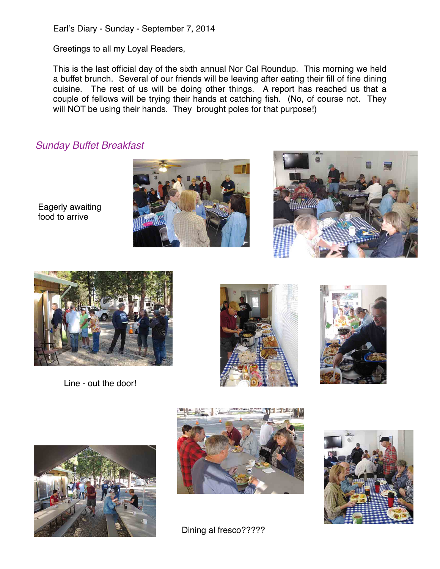Earl's Diary - Sunday - September 7, 2014

Greetings to all my Loyal Readers,

This is the last official day of the sixth annual Nor Cal Roundup. This morning we held a buffet brunch. Several of our friends will be leaving after eating their fill of fine dining cuisine. The rest of us will be doing other things. A report has reached us that a couple of fellows will be trying their hands at catching fish. (No, of course not. They will NOT be using their hands. They brought poles for that purpose!)

## *Sunday Buffet Breakfast*

Eagerly awaiting food to arrive







Line - out the door!









Dining al fresco?????